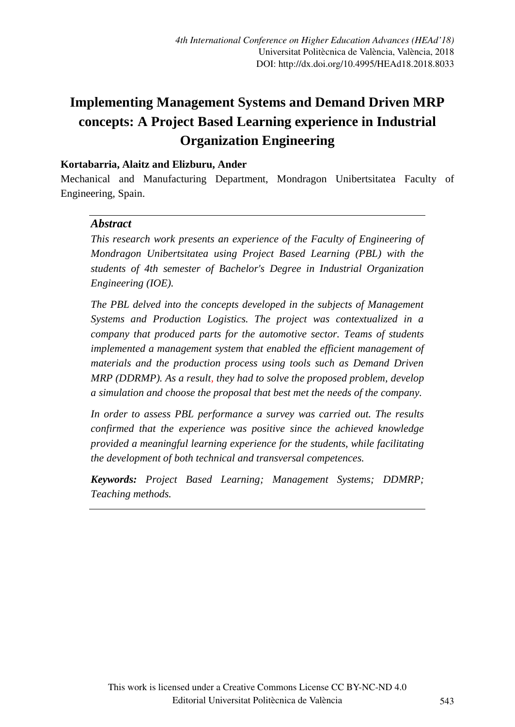# **Implementing Management Systems and Demand Driven MRP concepts: A Project Based Learning experience in Industrial Organization Engineering**

#### **Kortabarria, Alaitz and Elizburu, Ander**

Mechanical and Manufacturing Department, Mondragon Unibertsitatea Faculty of Engineering, Spain.

#### *Abstract*

*This research work presents an experience of the Faculty of Engineering of Mondragon Unibertsitatea using Project Based Learning (PBL) with the students of 4th semester of Bachelor's Degree in Industrial Organization Engineering (IOE).*

*The PBL delved into the concepts developed in the subjects of Management Systems and Production Logistics. The project was contextualized in a company that produced parts for the automotive sector. Teams of students implemented a management system that enabled the efficient management of materials and the production process using tools such as Demand Driven MRP (DDRMP). As a result, they had to solve the proposed problem, develop a simulation and choose the proposal that best met the needs of the company.*

*In order to assess PBL performance a survey was carried out. The results confirmed that the experience was positive since the achieved knowledge provided a meaningful learning experience for the students, while facilitating the development of both technical and transversal competences.*

*Keywords: Project Based Learning; Management Systems; DDMRP; Teaching methods.*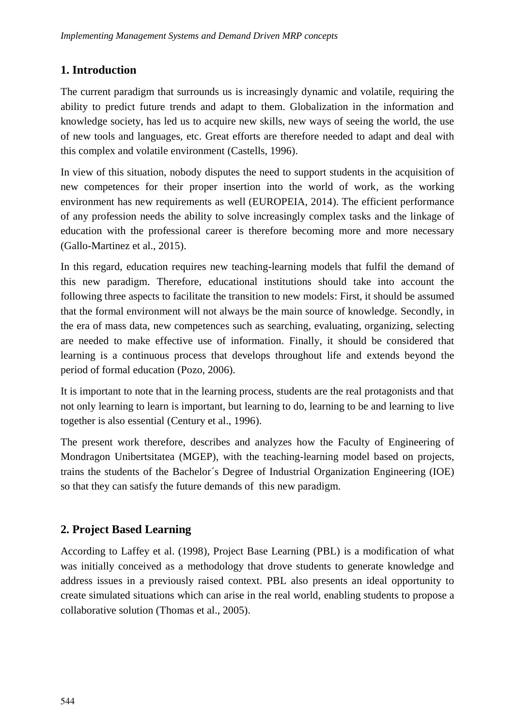### **1. Introduction**

The current paradigm that surrounds us is increasingly dynamic and volatile, requiring the ability to predict future trends and adapt to them. Globalization in the information and knowledge society, has led us to acquire new skills, new ways of seeing the world, the use of new tools and languages, etc. Great efforts are therefore needed to adapt and deal with this complex and volatile environment (Castells, 1996).

In view of this situation, nobody disputes the need to support students in the acquisition of new competences for their proper insertion into the world of work, as the working environment has new requirements as well (EUROPEIA, 2014). The efficient performance of any profession needs the ability to solve increasingly complex tasks and the linkage of education with the professional career is therefore becoming more and more necessary (Gallo-Martinez et al., 2015).

In this regard, education requires new teaching-learning models that fulfil the demand of this new paradigm. Therefore, educational institutions should take into account the following three aspects to facilitate the transition to new models: First, it should be assumed that the formal environment will not always be the main source of knowledge. Secondly, in the era of mass data, new competences such as searching, evaluating, organizing, selecting are needed to make effective use of information. Finally, it should be considered that learning is a continuous process that develops throughout life and extends beyond the period of formal education (Pozo, 2006).

It is important to note that in the learning process, students are the real protagonists and that not only learning to learn is important, but learning to do, learning to be and learning to live together is also essential (Century et al., 1996).

The present work therefore, describes and analyzes how the Faculty of Engineering of Mondragon Unibertsitatea (MGEP), with the teaching-learning model based on projects, trains the students of the Bachelor´s Degree of Industrial Organization Engineering (IOE) so that they can satisfy the future demands of this new paradigm.

# **2. Project Based Learning**

According to Laffey et al. (1998), Project Base Learning (PBL) is a modification of what was initially conceived as a methodology that drove students to generate knowledge and address issues in a previously raised context. PBL also presents an ideal opportunity to create simulated situations which can arise in the real world, enabling students to propose a collaborative solution (Thomas et al., 2005).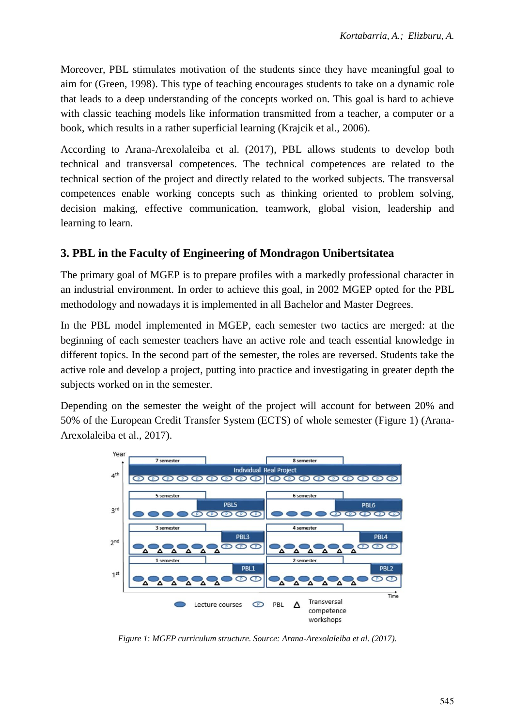Moreover, PBL stimulates motivation of the students since they have meaningful goal to aim for (Green, 1998). This type of teaching encourages students to take on a dynamic role that leads to a deep understanding of the concepts worked on. This goal is hard to achieve with classic teaching models like information transmitted from a teacher, a computer or a book, which results in a rather superficial learning (Krajcik et al., 2006).

According to Arana-Arexolaleiba et al. (2017), PBL allows students to develop both technical and transversal competences. The technical competences are related to the technical section of the project and directly related to the worked subjects. The transversal competences enable working concepts such as thinking oriented to problem solving, decision making, effective communication, teamwork, global vision, leadership and learning to learn.

#### **3. PBL in the Faculty of Engineering of Mondragon Unibertsitatea**

The primary goal of MGEP is to prepare profiles with a markedly professional character in an industrial environment. In order to achieve this goal, in 2002 MGEP opted for the PBL methodology and nowadays it is implemented in all Bachelor and Master Degrees.

In the PBL model implemented in MGEP, each semester two tactics are merged: at the beginning of each semester teachers have an active role and teach essential knowledge in different topics. In the second part of the semester, the roles are reversed. Students take the active role and develop a project, putting into practice and investigating in greater depth the subjects worked on in the semester.

Depending on the semester the weight of the project will account for between 20% and 50% of the European Credit Transfer System (ECTS) of whole semester (Figure 1) (Arana-Arexolaleiba et al., 2017).



*Figure 1*: *MGEP curriculum structure. Source: Arana-Arexolaleiba et al. (2017).*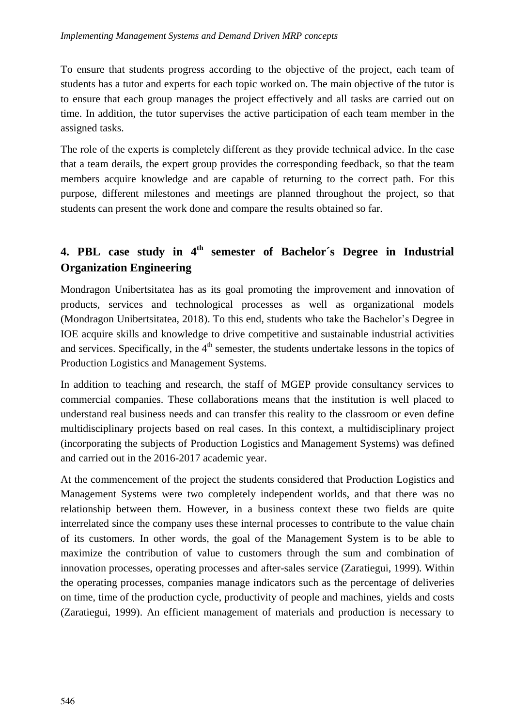To ensure that students progress according to the objective of the project, each team of students has a tutor and experts for each topic worked on. The main objective of the tutor is to ensure that each group manages the project effectively and all tasks are carried out on time. In addition, the tutor supervises the active participation of each team member in the assigned tasks.

The role of the experts is completely different as they provide technical advice. In the case that a team derails, the expert group provides the corresponding feedback, so that the team members acquire knowledge and are capable of returning to the correct path. For this purpose, different milestones and meetings are planned throughout the project, so that students can present the work done and compare the results obtained so far.

# **4. PBL case study in 4 th semester of Bachelor´s Degree in Industrial Organization Engineering**

Mondragon Unibertsitatea has as its goal promoting the improvement and innovation of products, services and technological processes as well as organizational models (Mondragon Unibertsitatea, 2018). To this end, students who take the Bachelor's Degree in IOE acquire skills and knowledge to drive competitive and sustainable industrial activities and services. Specifically, in the 4<sup>th</sup> semester, the students undertake lessons in the topics of Production Logistics and Management Systems.

In addition to teaching and research, the staff of MGEP provide consultancy services to commercial companies. These collaborations means that the institution is well placed to understand real business needs and can transfer this reality to the classroom or even define multidisciplinary projects based on real cases. In this context, a multidisciplinary project (incorporating the subjects of Production Logistics and Management Systems) was defined and carried out in the 2016-2017 academic year.

At the commencement of the project the students considered that Production Logistics and Management Systems were two completely independent worlds, and that there was no relationship between them. However, in a business context these two fields are quite interrelated since the company uses these internal processes to contribute to the value chain of its customers. In other words, the goal of the Management System is to be able to maximize the contribution of value to customers through the sum and combination of innovation processes, operating processes and after-sales service (Zaratiegui, 1999). Within the operating processes, companies manage indicators such as the percentage of deliveries on time, time of the production cycle, productivity of people and machines, yields and costs (Zaratiegui, 1999). An efficient management of materials and production is necessary to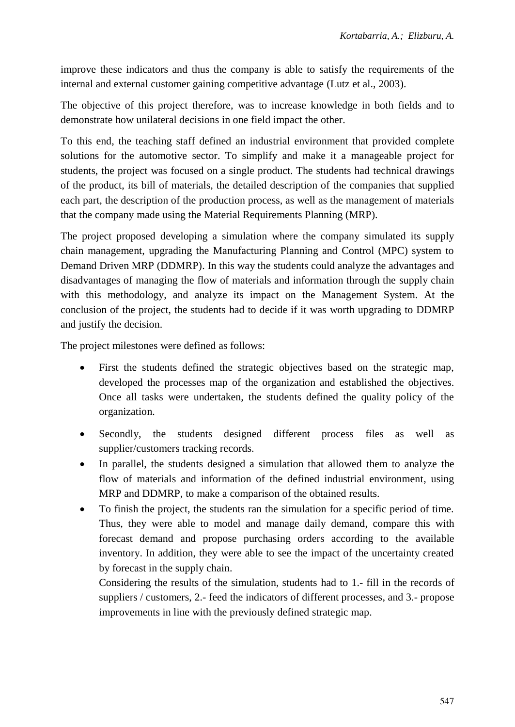improve these indicators and thus the company is able to satisfy the requirements of the internal and external customer gaining competitive advantage (Lutz et al., 2003).

The objective of this project therefore, was to increase knowledge in both fields and to demonstrate how unilateral decisions in one field impact the other.

To this end, the teaching staff defined an industrial environment that provided complete solutions for the automotive sector. To simplify and make it a manageable project for students, the project was focused on a single product. The students had technical drawings of the product, its bill of materials, the detailed description of the companies that supplied each part, the description of the production process, as well as the management of materials that the company made using the Material Requirements Planning (MRP).

The project proposed developing a simulation where the company simulated its supply chain management, upgrading the Manufacturing Planning and Control (MPC) system to Demand Driven MRP (DDMRP). In this way the students could analyze the advantages and disadvantages of managing the flow of materials and information through the supply chain with this methodology, and analyze its impact on the Management System. At the conclusion of the project, the students had to decide if it was worth upgrading to DDMRP and justify the decision.

The project milestones were defined as follows:

- First the students defined the strategic objectives based on the strategic map, developed the processes map of the organization and established the objectives. Once all tasks were undertaken, the students defined the quality policy of the organization.
- Secondly, the students designed different process files as well as supplier/customers tracking records.
- In parallel, the students designed a simulation that allowed them to analyze the flow of materials and information of the defined industrial environment, using MRP and DDMRP, to make a comparison of the obtained results.
- To finish the project, the students ran the simulation for a specific period of time. Thus, they were able to model and manage daily demand, compare this with forecast demand and propose purchasing orders according to the available inventory. In addition, they were able to see the impact of the uncertainty created by forecast in the supply chain.

Considering the results of the simulation, students had to 1.- fill in the records of suppliers / customers, 2.- feed the indicators of different processes, and 3.- propose improvements in line with the previously defined strategic map.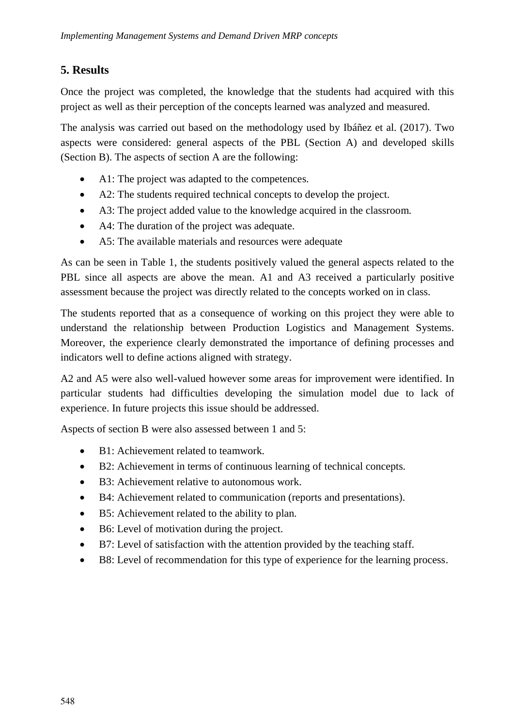# **5. Results**

Once the project was completed, the knowledge that the students had acquired with this project as well as their perception of the concepts learned was analyzed and measured.

The analysis was carried out based on the methodology used by Ibáñez et al. (2017). Two aspects were considered: general aspects of the PBL (Section A) and developed skills (Section B). The aspects of section A are the following:

- A1: The project was adapted to the competences.
- A2: The students required technical concepts to develop the project.
- A3: The project added value to the knowledge acquired in the classroom.
- A4: The duration of the project was adequate.
- A5: The available materials and resources were adequate

As can be seen in Table 1, the students positively valued the general aspects related to the PBL since all aspects are above the mean. A1 and A3 received a particularly positive assessment because the project was directly related to the concepts worked on in class.

The students reported that as a consequence of working on this project they were able to understand the relationship between Production Logistics and Management Systems. Moreover, the experience clearly demonstrated the importance of defining processes and indicators well to define actions aligned with strategy.

A2 and A5 were also well-valued however some areas for improvement were identified. In particular students had difficulties developing the simulation model due to lack of experience. In future projects this issue should be addressed.

Aspects of section B were also assessed between 1 and 5:

- B1: Achievement related to teamwork.
- B2: Achievement in terms of continuous learning of technical concepts.
- B3: Achievement relative to autonomous work.
- B4: Achievement related to communication (reports and presentations).
- B5: Achievement related to the ability to plan.
- B6: Level of motivation during the project.
- B7: Level of satisfaction with the attention provided by the teaching staff.
- B8: Level of recommendation for this type of experience for the learning process.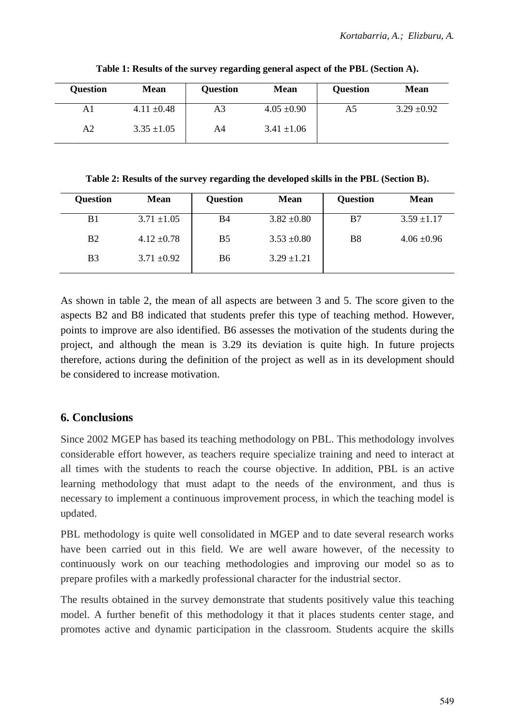| <b>Ouestion</b> | Mean            | <b>Ouestion</b> | Mean            | <b>Ouestion</b> | <b>Mean</b>     |
|-----------------|-----------------|-----------------|-----------------|-----------------|-----------------|
| Al              | $4.11 \pm 0.48$ | A3              | $4.05 \pm 0.90$ | A5              | $3.29 \pm 0.92$ |
| A2              | $3.35 \pm 1.05$ | A4              | $3.41 \pm 1.06$ |                 |                 |

**Table 1: Results of the survey regarding general aspect of the PBL (Section A).**

**Table 2: Results of the survey regarding the developed skills in the PBL (Section B).**

| <b>Ouestion</b> | <b>Mean</b>     | <b>Ouestion</b> | Mean            | <b>Ouestion</b> | Mean            |
|-----------------|-----------------|-----------------|-----------------|-----------------|-----------------|
| B1              | $3.71 \pm 1.05$ | B4              | $3.82 \pm 0.80$ | B7              | $3.59 \pm 1.17$ |
| B <sub>2</sub>  | $4.12 \pm 0.78$ | B5              | $3.53 \pm 0.80$ | B8              | $4.06 \pm 0.96$ |
| B <sub>3</sub>  | $3.71 \pm 0.92$ | B6              | $3.29 \pm 1.21$ |                 |                 |

As shown in table 2, the mean of all aspects are between 3 and 5. The score given to the aspects B2 and B8 indicated that students prefer this type of teaching method. However, points to improve are also identified. B6 assesses the motivation of the students during the project, and although the mean is 3.29 its deviation is quite high. In future projects therefore, actions during the definition of the project as well as in its development should be considered to increase motivation.

#### **6. Conclusions**

Since 2002 MGEP has based its teaching methodology on PBL. This methodology involves considerable effort however, as teachers require specialize training and need to interact at all times with the students to reach the course objective. In addition, PBL is an active learning methodology that must adapt to the needs of the environment, and thus is necessary to implement a continuous improvement process, in which the teaching model is updated.

PBL methodology is quite well consolidated in MGEP and to date several research works have been carried out in this field. We are well aware however, of the necessity to continuously work on our teaching methodologies and improving our model so as to prepare profiles with a markedly professional character for the industrial sector.

The results obtained in the survey demonstrate that students positively value this teaching model. A further benefit of this methodology it that it places students center stage, and promotes active and dynamic participation in the classroom. Students acquire the skills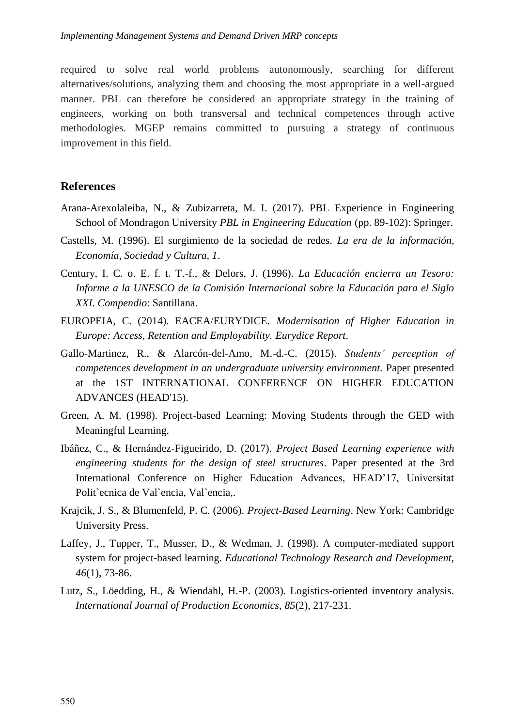required to solve real world problems autonomously, searching for different alternatives/solutions, analyzing them and choosing the most appropriate in a well-argued manner. PBL can therefore be considered an appropriate strategy in the training of engineers, working on both transversal and technical competences through active methodologies. MGEP remains committed to pursuing a strategy of continuous improvement in this field.

#### **References**

- Arana-Arexolaleiba, N., & Zubizarreta, M. I. (2017). PBL Experience in Engineering School of Mondragon University *PBL in Engineering Education* (pp. 89-102): Springer.
- Castells, M. (1996). El surgimiento de la sociedad de redes. *La era de la información, Economía, Sociedad y Cultura, 1*.
- Century, I. C. o. E. f. t. T.-f., & Delors, J. (1996). *La Educación encierra un Tesoro: Informe a la UNESCO de la Comisión Internacional sobre la Educación para el Siglo XXI. Compendio*: Santillana.
- EUROPEIA, C. (2014). EACEA/EURYDICE. *Modernisation of Higher Education in Europe: Access, Retention and Employability. Eurydice Report*.
- Gallo-Martinez, R., & Alarcón-del-Amo, M.-d.-C. (2015). *Students' perception of competences development in an undergraduate university environment.* Paper presented at the 1ST INTERNATIONAL CONFERENCE ON HIGHER EDUCATION ADVANCES (HEAD'15).
- Green, A. M. (1998). Project-based Learning: Moving Students through the GED with Meaningful Learning.
- Ibáñez, C., & Hernández-Figueirido, D. (2017). *Project Based Learning experience with engineering students for the design of steel structures*. Paper presented at the 3rd International Conference on Higher Education Advances, HEAD'17, Universitat Polit`ecnica de Val`encia, Val`encia,.
- Krajcik, J. S., & Blumenfeld, P. C. (2006). *Project-Based Learning*. New York: Cambridge University Press.
- Laffey, J., Tupper, T., Musser, D., & Wedman, J. (1998). A computer-mediated support system for project-based learning. *Educational Technology Research and Development, 46*(1), 73-86.
- Lutz, S., Löedding, H., & Wiendahl, H.-P. (2003). Logistics-oriented inventory analysis. *International Journal of Production Economics, 85*(2), 217-231.